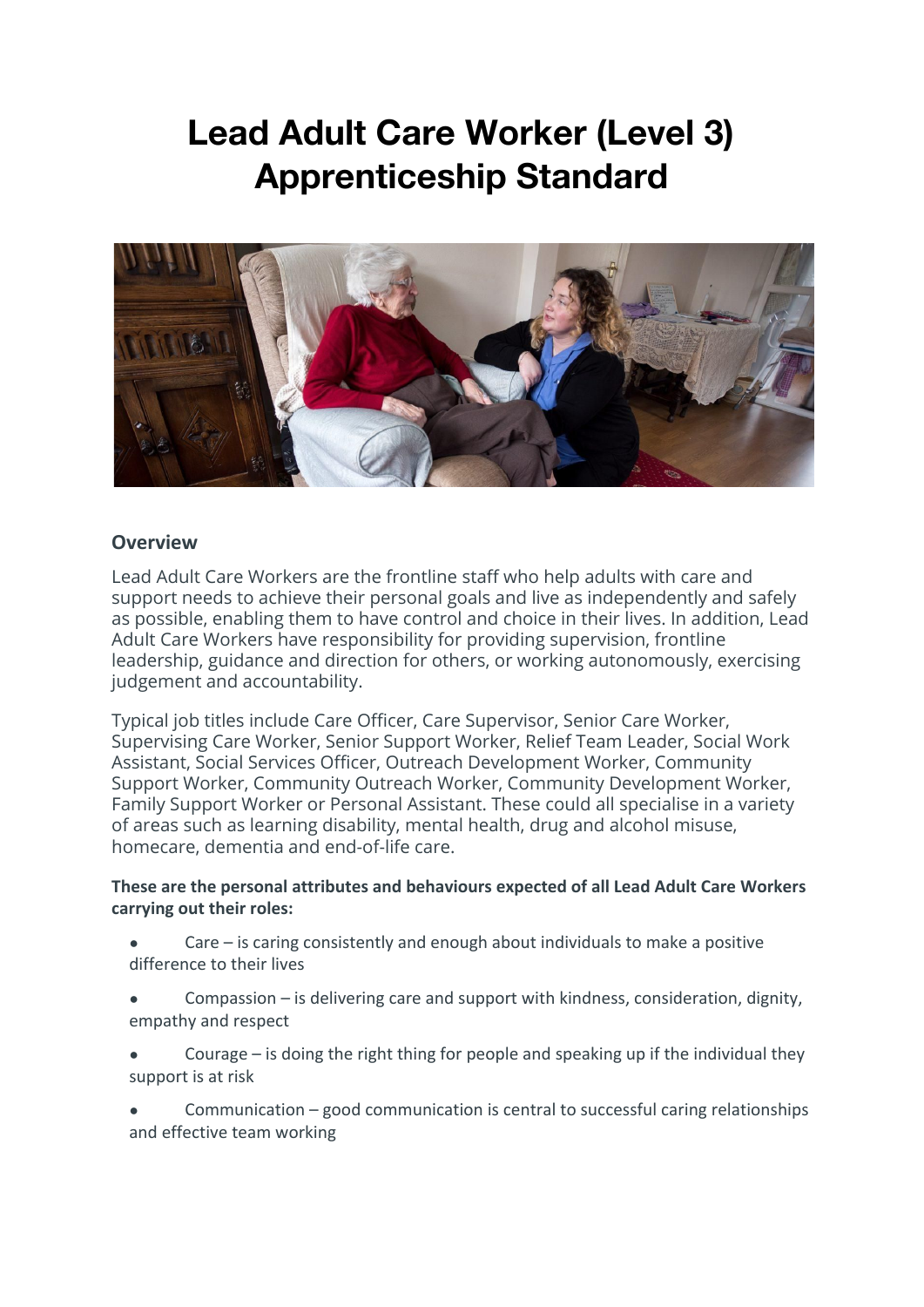# **Lead Adult Care Worker (Level 3) Apprenticeship Standard**



#### **Overview**

Lead Adult Care Workers are the frontline staff who help adults with care and support needs to achieve their personal goals and live as independently and safely as possible, enabling them to have control and choice in their lives. In addition, Lead Adult Care Workers have responsibility for providing supervision, frontline leadership, guidance and direction for others, or working autonomously, exercising judgement and accountability.

Typical job titles include Care Officer, Care Supervisor, Senior Care Worker, Supervising Care Worker, Senior Support Worker, Relief Team Leader, Social Work Assistant, Social Services Officer, Outreach Development Worker, Community Support Worker, Community Outreach Worker, Community Development Worker, Family Support Worker or Personal Assistant. These could all specialise in a variety of areas such as learning disability, mental health, drug and alcohol misuse, homecare, dementia and end-of-life care.

**These are the personal attributes and behaviours expected of all Lead Adult Care Workers carrying out their roles:**

- Care  $-$  is caring consistently and enough about individuals to make a positive difference to their lives
- Compassion  $-$  is delivering care and support with kindness, consideration, dignity, empathy and respect
- Courage  $-$  is doing the right thing for people and speaking up if the individual they support is at risk
- Communication good communication is central to successful caring relationships and effective team working